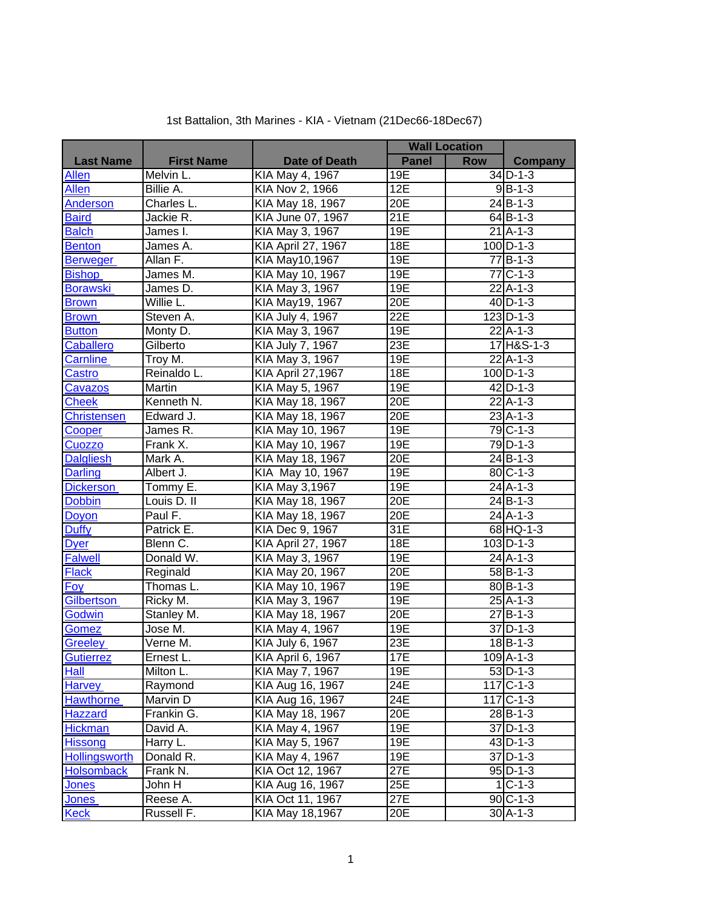## 1st Battalion, 3th Marines - KIA - Vietnam (21Dec66-18Dec67)

|                    |                                 |                          | <b>Wall Location</b> |            |                |
|--------------------|---------------------------------|--------------------------|----------------------|------------|----------------|
| <b>Last Name</b>   | <b>First Name</b>               | <b>Date of Death</b>     | <b>Panel</b>         | <b>Row</b> | Company        |
| Allen              | Melvin L.                       | KIA May 4, 1967          | 19E                  |            | $34$ D-1-3     |
| <b>Allen</b>       | Billie A.                       | KIA Nov 2, 1966          | 12E                  |            | $9B-1-3$       |
| Anderson           | Charles L.                      | KIA May 18, 1967         | 20E                  |            | $24$ $B-1-3$   |
| <b>Baird</b>       | Jackie R.                       | KIA June 07, 1967        | 21E                  |            | $64$ B-1-3     |
| <b>Balch</b>       | James I.                        | KIA May 3, 1967          | 19E                  |            | $21$ A-1-3     |
| <b>Benton</b>      | James A.                        | KIA April 27, 1967       | 18E                  |            | $100$ D-1-3    |
| <b>Berweger</b>    | Allan F.                        | KIA May10,1967           | 19E                  |            | $77$ B-1-3     |
| <b>Bishop</b>      | James M.                        | KIA May 10, 1967         | 19E                  |            | 77 C-1-3       |
| <b>Borawski</b>    | James D.                        | KIA May 3, 1967          | 19E                  |            | $22$ A-1-3     |
| <b>Brown</b>       | Willie L.                       | KIA May19, 1967          | 20E                  |            | $40$ D-1-3     |
| <b>Brown</b>       | Steven A.                       | KIA July 4, 1967         | 22E                  |            | $123$ D-1-3    |
| <b>Button</b>      | Monty D.                        | KIA May 3, 1967          | 19E                  |            | $22$ A-1-3     |
| Caballero          | Gilberto                        | <b>KIA July 7, 1967</b>  | 23E                  |            | 17 H&S-1-3     |
| Carnline           | Troy M.                         | KIA May 3, 1967          | 19E                  |            | $22$ A-1-3     |
| Castro             | Reinaldo L.                     | KIA April 27,1967        | 18E                  |            | $100$ D-1-3    |
| <b>Cavazos</b>     | Martin                          | KIA May 5, 1967          | 19E                  |            | $42$ D-1-3     |
| <b>Cheek</b>       | Kenneth N.                      | KIA May 18, 1967         | 20E                  |            | $22$ A-1-3     |
| <b>Christensen</b> | Edward J.                       | KIA May 18, 1967         | 20E                  |            | $23$ A-1-3     |
| Cooper             | James R.                        | KIA May 10, 1967         | 19E                  |            | 79 C-1-3       |
| Cuozzo             | Frank X.                        | KIA May 10, 1967         | 19E                  |            | 79 D-1-3       |
| <b>Dalgliesh</b>   | Mark A.                         | KIA May 18, 1967         | 20E                  |            | $24$ B-1-3     |
| <b>Darling</b>     | Albert J.                       | KIA May 10, 1967         | 19E                  |            | 80 C-1-3       |
| <b>Dickerson</b>   | Tommy E.                        | KIA May 3,1967           | 19E                  |            | $24$ A-1-3     |
| <b>Dobbin</b>      | Louis D. II                     | KIA May 18, 1967         | 20E                  |            | $24$ B-1-3     |
| Doyon              | Paul F.                         | KIA May 18, 1967         | 20E                  |            | $24$ A-1-3     |
| <b>Duffy</b>       | Patrick E.                      | KIA Dec 9, 1967          | 31E                  |            | 68 HQ-1-3      |
| <b>Dyer</b>        | Blenn C.                        | KIA April 27, 1967       | 18E                  |            | $103$ D-1-3    |
| <b>Falwell</b>     | Donald W.                       | KIA May 3, 1967          | 19E                  |            | $24$ A-1-3     |
| <b>Flack</b>       | Reginald                        | KIA May 20, 1967         | 20E                  |            | $58$ B-1-3     |
| <b>Foy</b>         | Thomas L.                       | KIA May 10, 1967         | 19E                  |            | $80 B-1-3$     |
| <b>Gilbertson</b>  | Ricky M.                        | KIA May 3, 1967          | 19E                  |            | $25$ A-1-3     |
| Godwin             | Stanley M.                      | KIA May 18, 1967         | 20E                  |            | $27B-1-3$      |
| Gomez              | Jose M.                         | KIA May 4, 1967          | 19E                  |            | $37$ D-1-3     |
| Greeley            | $\overline{\mathsf{V}}$ erne M. | KIA July 6, 1967         | 23E                  |            | $18B - 1 - 3$  |
| Gutierrez          | Ernest L.                       | <b>KIA April 6, 1967</b> | 17E                  |            | $109$ A-1-3    |
| Hall               | Milton L.                       | KIA May 7, 1967          | 19E                  |            | $53$ D-1-3     |
| <b>Harvey</b>      | Raymond                         | KIA Aug 16, 1967         | 24E                  |            | $117C - 1 - 3$ |
| <b>Hawthorne</b>   | Marvin D                        | KIA Aug 16, 1967         | 24E                  |            | $117C - 1 - 3$ |
| <b>Hazzard</b>     | Frankin G.                      | KIA May 18, 1967         | 20E                  |            | $28$ B-1-3     |
| <b>Hickman</b>     | David A.                        | KIA May 4, 1967          | 19E                  |            | $37$ D-1-3     |
| <b>Hissong</b>     | Harry L.                        | KIA May 5, 1967          | 19E                  |            | $43$ D-1-3     |
| Hollingsworth      | Donald R.                       | KIA May 4, 1967          | 19E                  |            | $37$ D-1-3     |
| <b>Holsomback</b>  | Frank N.                        | KIA Oct 12, 1967         | 27E                  |            | $95$ D-1-3     |
| <b>Jones</b>       | John H                          | KIA Aug 16, 1967         | 25E                  |            | $1 C-1-3 $     |
| <b>Jones</b>       | Reese A.                        | KIA Oct 11, 1967         | 27E                  |            | $90C-1-3$      |
| <b>Keck</b>        | Russell F.                      | KIA May 18,1967          | 20E                  |            | $30$ A-1-3     |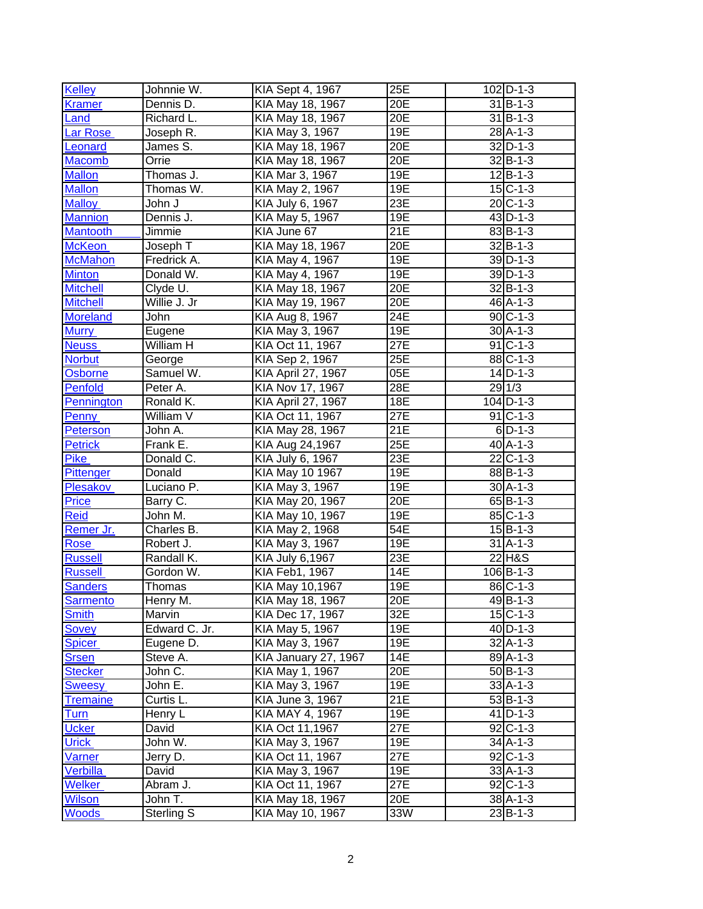| <b>Kelley</b>    | Johnnie W.    | KIA Sept 4, 1967          | 25E | $102$ D-1-3          |
|------------------|---------------|---------------------------|-----|----------------------|
| Kramer           | Dennis D.     | KIA May 18, 1967          | 20E | $31$ B-1-3           |
| Land             | Richard L.    | KIA May 18, 1967          | 20E | $31$ B-1-3           |
| Lar Rose         | Joseph R.     | KIA May 3, 1967           | 19E | $28$ A-1-3           |
| Leonard          | James S.      | KIA May 18, 1967          | 20E | $32$ D-1-3           |
| <b>Macomb</b>    | Orrie         | KIA May 18, 1967          | 20E | $32$ B-1-3           |
| <b>Mallon</b>    | Thomas J.     | KIA Mar 3, 1967           | 19E | $12\overline{B-1-3}$ |
| <b>Mallon</b>    | Thomas W.     | KIA May 2, 1967           | 19E | $15$ C-1-3           |
| <b>Malloy</b>    | John J        | KIA July 6, 1967          | 23E | $20 C-1-3 $          |
| <b>Mannion</b>   | Dennis J.     | KIA May 5, 1967           | 19E | $43$ D-1-3           |
| <b>Mantooth</b>  | Jimmie        | KIA June 67               | 21E | $83$ B-1-3           |
| <b>McKeon</b>    | Joseph T      | KIA May 18, 1967          | 20E | $32$ $B-1-3$         |
| <b>McMahon</b>   | Fredrick A.   | KIA May 4, 1967           | 19E | $39$ D-1-3           |
| <b>Minton</b>    | Donald W.     | KIA May 4, 1967           | 19E | $39$ D-1-3           |
| <b>Mitchell</b>  | Clyde U.      | KIA May 18, 1967          | 20E | $32$ B-1-3           |
| <b>Mitchell</b>  | Willie J. Jr  | KIA May 19, 1967          | 20E | 46 A-1-3             |
| <b>Moreland</b>  | John          | KIA Aug 8, 1967           | 24E | $90C - 1 - 3$        |
| <b>Murry</b>     | Eugene        | KIA May 3, 1967           | 19E | $30$ A-1-3           |
| <b>Neuss</b>     | William H     | KIA Oct 11, 1967          | 27E | $91$ C-1-3           |
| <b>Norbut</b>    | George        | KIA Sep 2, 1967           | 25E | 88 C-1-3             |
| <b>Osborne</b>   | Samuel W.     | <b>KIA April 27, 1967</b> | 05E | $14$ D-1-3           |
| Penfold          | Peter A.      | KIA Nov 17, 1967          | 28E | 291/3                |
| Pennington       | Ronald K.     | <b>KIA April 27, 1967</b> | 18E | $104$ D-1-3          |
| Penny            | William V     | KIA Oct 11, 1967          | 27E | $91$ C-1-3           |
| <b>Peterson</b>  | John A.       | KIA May 28, 1967          | 21E | $6$ D-1-3            |
| <b>Petrick</b>   | Frank E.      | KIA Aug 24,1967           | 25E | $40$ A-1-3           |
| <b>Pike</b>      | Donald C.     | KIA July 6, 1967          | 23E | $22 C-1-3 $          |
| <b>Pittenger</b> | Donald        | KIA May 10 1967           | 19E | 88B-1-3              |
| Plesakov         | Luciano P.    | KIA May 3, 1967           | 19E | $30$ A-1-3           |
| Price            | Barry C.      | KIA May 20, 1967          | 20E | $65$ B-1-3           |
| <b>Reid</b>      | John M.       | KIA May 10, 1967          | 19E | $85C - 1 - 3$        |
| Remer Jr.        | Charles B.    | KIA May 2, 1968           | 54E | $15$ B-1-3           |
| <b>Rose</b>      | Robert J.     | KIA May 3, 1967           | 19E | $31$ A-1-3           |
| <b>Russell</b>   | Randall K.    | KIA July 6,1967           | 23E | 22 H&S               |
| <b>Russell</b>   | Gordon W.     | KIA Feb1, 1967            | 14E | $106$ B-1-3          |
| <b>Sanders</b>   | Thomas        | KIA May 10,1967           | 19E | $86C - 1 - 3$        |
| <b>Sarmento</b>  | Henry M.      | KIA May 18, 1967          | 20E | 49 B-1-3             |
| <b>Smith</b>     | Marvin        | KIA Dec 17, 1967          | 32E | $15C - 1 - 3$        |
| Sovey            | Edward C. Jr. | KIA May 5, 1967           | 19E | $40$ D-1-3           |
| <b>Spicer</b>    | Eugene D.     | KIA May 3, 1967           | 19E | $32$ A-1-3           |
| <b>Srsen</b>     | Steve A.      | KIA January 27, 1967      | 14E | 89 A-1-3             |
| <b>Stecker</b>   | John C.       | KIA May 1, 1967           | 20E | $50$ B-1-3           |
| <b>Sweesy</b>    | John E.       | KIA May 3, 1967           | 19E | $33$ A-1-3           |
| <b>Tremaine</b>  | Curtis L.     | KIA June 3, 1967          | 21E | $53 B-1-3 $          |
| Turn             | Henry L       | KIA MAY 4, 1967           | 19E | $41$ D-1-3           |
| <b>Ucker</b>     | David         | KIA Oct 11,1967           | 27E | $92$ C-1-3           |
| <b>Urick</b>     | John W.       | KIA May 3, 1967           | 19E | $34$ A-1-3           |
| Varner           | Jerry D.      | KIA Oct 11, 1967          | 27E | $92$ C-1-3           |
| Verbilla         | David         | KIA May 3, 1967           | 19E | $33$ A-1-3           |
| <b>Welker</b>    | Abram J.      | KIA Oct 11, 1967          | 27E | $92$ C-1-3           |
| <b>Wilson</b>    | John T.       | KIA May 18, 1967          | 20E | $38$ A-1-3           |
| <b>Woods</b>     | Sterling S    | KIA May 10, 1967          | 33W | $23B-1-3$            |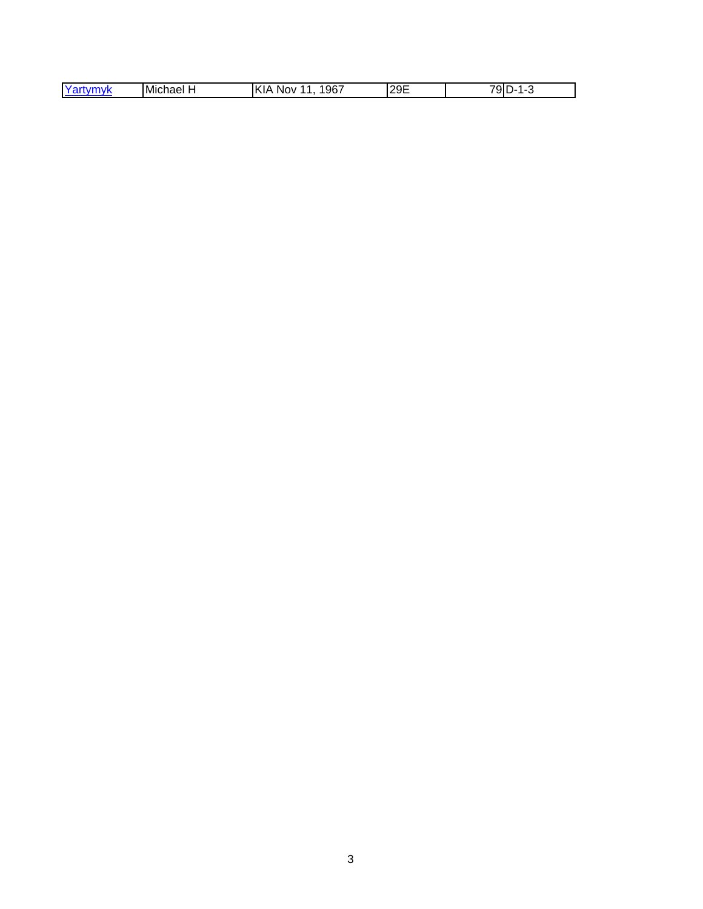| $Y_{k}$<br><b><i>FRANCIS</i></b><br>- -<br>'TIVK<br>' ' | Michael | ,967<br>И<br><b>NOV</b><br>`\l <i>i</i> | 29E | —— <i>—</i><br>91<br>$\epsilon =$<br> |
|---------------------------------------------------------|---------|-----------------------------------------|-----|---------------------------------------|